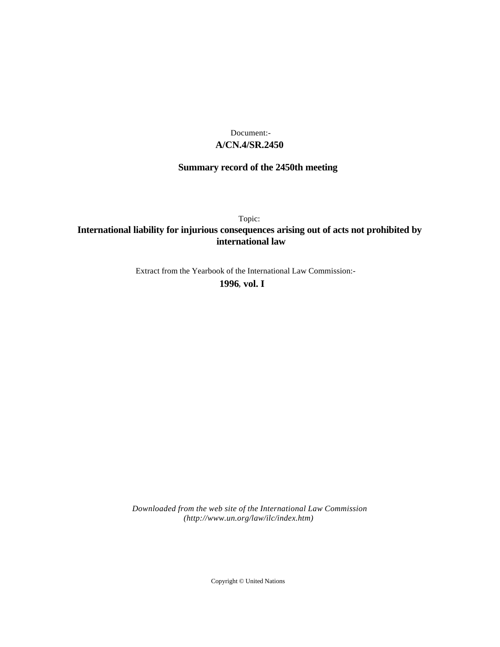## **A/CN.4/SR.2450** Document:-

# **Summary record of the 2450th meeting**

Topic:

# **International liability for injurious consequences arising out of acts not prohibited by international law**

Extract from the Yearbook of the International Law Commission:-

**1996** , **vol. I**

*Downloaded from the web site of the International Law Commission (http://www.un.org/law/ilc/index.htm)*

Copyright © United Nations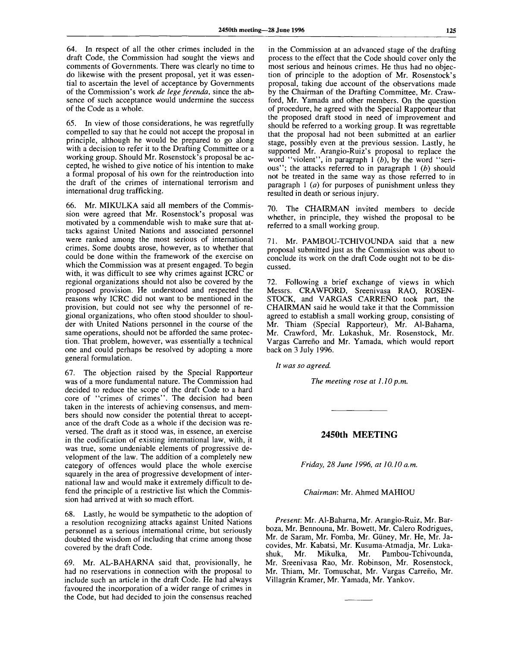64. In respect of all the other crimes included in the draft Code, the Commission had sought the views and comments of Governments. There was clearly no time to do likewise with the present proposal, yet it was essential to ascertain the level of acceptance by Governments of the Commission's work *de lege ferenda,* since the absence of such acceptance would undermine the success of the Code as a whole.

65. In view of those considerations, he was regretfully compelled to say that he could not accept the proposal in principle, although he would be prepared to go along with a decision to refer it to the Drafting Committee or a working group. Should Mr. Rosenstock's proposal be accepted, he wished to give notice of his intention to make a formal proposal of his own for the reintroduction into the draft of the crimes of international terrorism and international drug trafficking.

66. Mr. MIKULKA said all members of the Commission were agreed that Mr. Rosenstock's proposal was motivated by a commendable wish to make sure that attacks against United Nations and associated personnel were ranked among the most serious of international crimes. Some doubts arose, however, as to whether that could be done within the framework of the exercise on which the Commission was at present engaged. To begin with, it was difficult to see why crimes against ICRC or regional organizations should not also be covered by the proposed provision. He understood and respected the reasons why ICRC did not want to be mentioned in the provision, but could not see why the personnel of regional organizations, who often stood shoulder to shoulder with United Nations personnel in the course of the same operations, should not be afforded the same protection. That problem, however, was essentially a technical one and could perhaps be resolved by adopting a more general formulation.

67. The objection raised by the Special Rapporteur was of a more fundamental nature. The Commission had decided to reduce the scope of the draft Code to a hard core of "crimes of crimes". The decision had been taken in the interests of achieving consensus, and members should now consider the potential threat to acceptance of the draft Code as a whole if the decision was reversed. The draft as it stood was, in essence, an exercise in the codification of existing international law, with, it was true, some undeniable elements of progressive development of the law. The addition of a completely new category of offences would place the whole exercise squarely in the area of progressive development of international law and would make it extremely difficult to defend the principle of a restrictive list which the Commission had arrived at with so much effort.

68. Lastly, he would be sympathetic to the adoption of a resolution recognizing attacks against United Nations personnel as a serious international crime, but seriously doubted the wisdom of including that crime among those covered by the draft Code.

69. Mr. AL-BAHARNA said that, provisionally, he had no reservations in connection with the proposal to include such an article in the draft Code. He had always favoured the incorporation of a wider range of crimes in the Code, but had decided to join the consensus reached

in the Commission at an advanced stage of the drafting process to the effect that the Code should cover only the most serious and heinous crimes. He thus had no objection of principle to the adoption of Mr. Rosenstock's proposal, taking due account of the observations made by the Chairman of the Drafting Committee, Mr. Crawford, Mr. Yamada and other members. On the question of procedure, he agreed with the Special Rapporteur that the proposed draft stood in need of improvement and should be referred to a working group. It was regrettable that the proposal had not been submitted at an earlier stage, possibly even at the previous session. Lastly, he supported Mr. Arangio-Ruiz's proposal to replace the word "violent", in paragraph 1 *(b),* by the word "serious"; the attacks referred to in paragraph 1 *(b)* should not be treated in the same way as those referred to in paragraph 1 *(a)* for purposes of punishment unless they resulted in death or serious injury.

70. The CHAIRMAN invited members to decide whether, in principle, they wished the proposal to be referred to a small working group.

71. Mr. PAMBOU-TCHIVOUNDA said that a new proposal submitted just as the Commission was about to conclude its work on the draft Code ought not to be discussed.

72. Following a brief exchange of views in which Messrs. CRAWFORD, Sreenivasa RAO, ROSEN-STOCK, and VARGAS CARREÑO took part, the CHAIRMAN said he would take it that the Commission agreed to establish a small working group, consisting of Mr. Thiam (Special Rapporteur), Mr. Al-Baharna, Mr. Crawford, Mr. Lukashuk, Mr. Rosenstock, Mr. Vargas Carrefio and Mr. Yamada, which would report back on 3 July 1996.

*It was so agreed.*

*The meeting rose at 1.10p.m.*

**2450th MEETING**

*Friday, 28 June 1996, at 10.10 a.m.*

*Chairman:* Mr. Ahmed MAHIOU

*Present:* Mr. Al-Baharna, Mr. Arangio-Ruiz, Mr. Barboza, Mr. Bennouna, Mr. Bowett, Mr. Calero Rodrigues, Mr. de Saram, Mr. Fomba, Mr. Giiney, Mr. He, Mr. Jacovides, Mr. Kabatsi, Mr. Kusuma-Atmadja, Mr. Lukashuk, Mr. Mikulka, Mr. Pambou-Tchivounda, Mr. Sreenivasa Rao, Mr. Robinson, Mr. Rosenstock, Mr. Thiam, Mr. Tomuschat, Mr. Vargas Carrefio, Mr. Villagrán Kramer, Mr. Yamada, Mr. Yankov.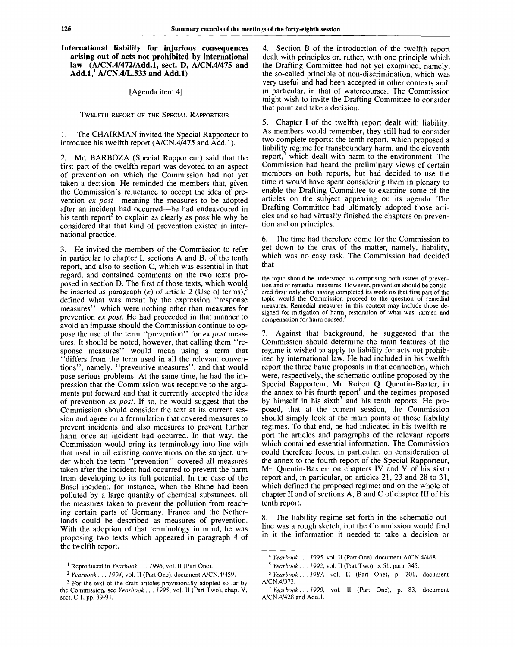### **International liability for injurious consequences arising out of acts not prohibited by international law (A/CN.4/472/Add.l, sect. D, A/CN.4/475 and Add.1,<sup>1</sup> A/CN.4/L.533 and Add.l)**

### [Agenda item 4]

#### TWELFTH REPORT OF THE SPECIAL RAPPORTEUR

#### 1. The CHAIRMAN invited the Special Rapporteur to introduce his twelfth report (A/CN.4/475 and Add.l).

2. Mr. BARBOZA (Special Rapporteur) said that the first part of the twelfth report was devoted to an aspect of prevention on which the Commission had not yet taken a decision. He reminded the members that, given the Commission's reluctance to accept the idea of prevention *ex post*—meaning the measures to be adopted after an incident had occurred—he had endeavoured in his tenth report<sup>2</sup> to explain as clearly as possible why he considered that that kind of prevention existed in international practice.

3. He invited the members of the Commission to refer in particular to chapter I, sections A and B, of the tenth report, and also to section C, which was essential in that regard, and contained comments on the two texts proposed in section D. The first of those texts, which would be inserted as paragraph (e) of article 2 (Use of terms).<sup>3</sup> defined what was meant by the expression "response measures", which were nothing other than measures for prevention *ex post.* He had proceeded in that manner to avoid an impasse should the Commission continue to oppose the use of the term "prevention" for *ex post* measures. It should be noted, however, that calling them "response measures" would mean using a term that "differs from the term used in all the relevant conventions", namely, "preventive measures", and that would pose serious problems. At the same time, he had the impression that the Commission was receptive to the arguments put forward and that it currently accepted the idea of prevention *ex post.* If so, he would suggest that the Commission should consider the text at its current session and agree on a formulation that covered measures to prevent incidents and also measures to prevent further harm once an incident had occurred. In that way, the Commission would bring its terminology into line with that used in all existing conventions on the subject, under which the term "prevention" covered all measures taken after the incident had occurred to prevent the harm from developing to its full potential. In the case of the Basel incident, for instance, when the Rhine had been polluted by a large quantity of chemical substances, all the measures taken to prevent the pollution from reaching certain parts of Germany, France and the Netherlands could be described as measures of prevention. With the adoption of that terminology in mind, he was proposing two texts which appeared in paragraph 4 of the twelfth report.

4. Section B of the introduction of the twelfth report dealt with principles or, rather, with one principle which the Drafting Committee had not yet examined, namely, the so-called principle of non-discrimination, which was very useful and had been accepted in other contexts and, in particular, in that of watercourses. The Commission might wish to invite the Drafting Committee to consider that point and take a decision.

5. Chapter I of the twelfth report dealt with liability. As members would remember, they still had to consider two complete reports: the tenth report, which proposed a liability regime for transboundary harm, and the eleventh report, $4$  which dealt with harm to the environment. The Commission had heard the preliminary views of certain members on both reports, but had decided to use the time it would have spent considering them in plenary to enable the Drafting Committee to examine some of the articles on the subject appearing on its agenda. The Drafting Committee had ultimately adopted those articles and so had virtually finished the chapters on prevention and on principles.

6. The time had therefore come for the Commission to get down to the crux of the matter, namely, liability, which was no easy task. The Commission had decided that

the topic should be understood as comprising both issues of prevention and of remedial measures. However, prevention should be considered first: only after having completed its work on that first part of the topic would the Commission proceed to the question of remedial measures. Remedial measures in this context may include those designed for mitigation of harm, restoration of what was harmed and compensation for harm caused.'

7. Against that background, he suggested that the Commission should determine the main features of the regime it wished to apply to liability for acts not prohibited by international law. He had included in his twelfth report the three basic proposals in that connection, which were, respectively, the schematic outline proposed by the Special Rapporteur, Mr. Robert Q. Quentin-Baxter, in the annex to his fourth report and the regimes proposed by himself in his sixth<sup>7</sup> and his tenth reports. He proposed, that at the current session, the Commission should simply look at the main points of those liability regimes. To that end, he had indicated in his twelfth report the articles and paragraphs of the relevant reports which contained essential information. The Commission could therefore focus, in particular, on consideration of the annex to the fourth report of the Special Rapporteur, Mr. Quentin-Baxter; on chapters IV and V of his sixth report and, in particular, on articles 21, 23 and 28 to 31, which defined the proposed regime; and on the whole of chapter II and of sections A, B and C of chapter III of his tenth report.

The liability regime set forth in the schematic outline was a rough sketch, but the Commission would find in it the information it needed to take a decision or

<sup>1</sup> Reproduced in *Yearbook* . . . 7996, vol. II (Part One).

<sup>2</sup>  *Yearbook . . . 1994,* vol. II (Part One), document A/CN.4/459.

 $3$  For the text of the draft articles provisionally adopted so far by the Commission, see *Yearbook. . . 1995,* vol. II (Part Two), chap. V, sect. C.I, pp. 89-91.

<sup>4</sup>  *Yearbook . . . 1995,* vol. II (Part One), document A/CN.4/468.

<sup>5</sup>  *Yearbook . . . 1992,* vol. II (Part Two), p. 51, para. 345.

<sup>6</sup>  *Yearbook. .. 1983,* vol. II (Part One), p. 201, document A/CN.4/373.

*<sup>1</sup> Yearbook... 1990,* vol. II (Part One), p. 83, document A/CN.4/428 and Add.l.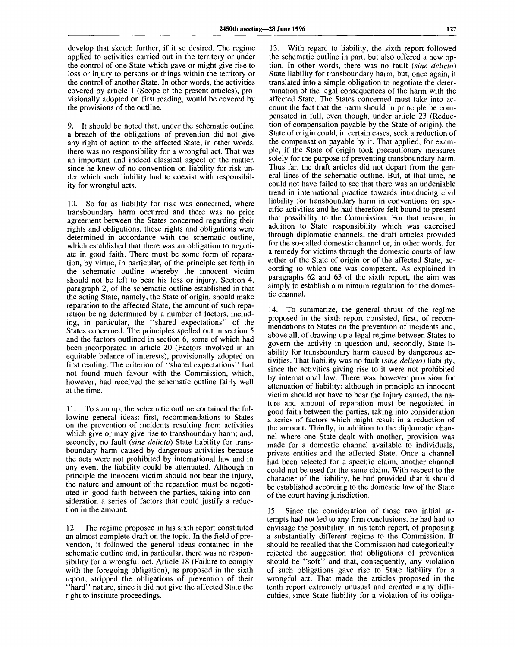develop that sketch further, if it so desired. The regime applied to activities carried out in the territory or under the control of one State which gave or might give rise to loss or injury to persons or things within the territory or the control of another State. In other words, the activities covered by article 1 (Scope of the present articles), provisionally adopted on first reading, would be covered by the provisions of the outline.

9. It should be noted that, under the schematic outline, a breach of the obligations of prevention did not give any right of action to the affected State, in other words, there was no responsibility for a wrongful act. That was an important and indeed classical aspect of the matter, since he knew of no convention on liability for risk under which such liability had to coexist with responsibility for wrongful acts.

10. So far as liability for risk was concerned, where transboundary harm occurred and there was no prior agreement between the States concerned regarding their rights and obligations, those rights and obligations were determined in accordance with the schematic outline, which established that there was an obligation to negotiate in good faith. There must be some form of reparation, by virtue, in particular, of the principle set forth in the schematic outline whereby the innocent victim should not be left to bear his loss or injury. Section 4, paragraph 2, of the schematic outline established in that the acting State, namely, the State of origin, should make reparation to the affected State, the amount of such reparation being determined by a number of factors, including, in particular, the "shared expectations" of the States concerned. The principles spelled out in section 5 and the factors outlined in section 6, some of which had been incorporated in article 20 (Factors involved in an equitable balance of interests), provisionally adopted on first reading. The criterion of "shared expectations" had not found much favour with the Commission, which, however, had received the schematic outline fairly well at the time.

11. To sum up, the schematic outline contained the following general ideas: first, recommendations to States on the prevention of incidents resulting from activities which give or may give rise to transboundary harm; and, secondly, no fault *(sine dellcto)* State liability for transboundary harm caused by dangerous activities because the acts were not prohibited by international law and in any event the liability could be attenuated. Although in principle the innocent victim should not bear the injury, the nature and amount of the reparation must be negotiated in good faith between the parties, taking into consideration a series of factors that could justify a reduction in the amount.

12. The regime proposed in his sixth report constituted an almost complete draft on the topic. In the field of prevention, it followed the general ideas contained in the schematic outline and, in particular, there was no responsibility for a wrongful act. Article 18 (Failure to comply with the foregoing obligation), as proposed in the sixth report, stripped the obligations of prevention of their "hard" nature, since it did not give the affected State the right to institute proceedings.

13. With regard to liability, the sixth report followed the schematic outline in part, but also offered a new option. In other words, there was no fault *(sine delicto)* State liability for transboundary harm, but, once again, it translated into a simple obligation to negotiate the determination of the legal consequences of the harm with the affected State. The States concerned must take into account the fact that the harm should in principle be compensated in full, even though, under article 23 (Reduction of compensation payable by the State of origin), the State of origin could, in certain cases, seek a reduction of the compensation payable by it. That applied, for example, if the State of origin took precautionary measures solely for the purpose of preventing transboundary harm. Thus far, the draft articles did not depart from the general lines of the schematic outline. But, at that time, he could not have failed to see that there was an undeniable trend in international practice towards introducing civil liability for transboundary harm in conventions on specific activities and he had therefore felt bound to present that possibility to the Commission. For that reason, in addition to State responsibility which was exercised through diplomatic channels, the draft articles provided for the so-called domestic channel or, in other words, for a remedy for victims through the domestic courts of law either of the State of origin or of the affected State, according to which one was competent. As explained in paragraphs 62 and 63 of the sixth report, the aim was simply to establish a minimum regulation for the domestic channel.

14. To summarize, the general thrust of the regime proposed in the sixth report consisted, first, of recommendations to States on the prevention of incidents and, above all, of drawing up a legal regime between States to govern the activity in question and, secondly, State liability for transboundary harm caused by dangerous activities. That liability was no fault *(sine delicto)* liability, since the activities giving rise to it were not prohibited by international law. There was however provision for attenuation of liability: although in principle an innocent victim should not have to bear the injury caused, the nature and amount of reparation must be negotiated in good faith between the parties, taking into consideration a series of factors which might result in a reduction of the amount. Thirdly, in addition to the diplomatic channel where one State dealt with another, provision was made for a domestic channel available to individuals, private entities and the affected State. Once a channel had been selected for a specific claim, another channel could not be used for the same claim. With respect to the character of the liability, he had provided that it should be established according to the domestic law of the State of the court having jurisdiction.

15. Since the consideration of those two initial attempts had not led to any firm conclusions, he had had to envisage the possibility, in his tenth report, of proposing a substantially different regime to the Commission. It should be recalled that the Commission had categorically rejected the suggestion that obligations of prevention should be "soft" and that, consequently, any violation of such obligations gave rise to State liability for a wrongful act. That made the articles proposed in the tenth report extremely unusual and created many difficulties, since State liability for a violation of its obliga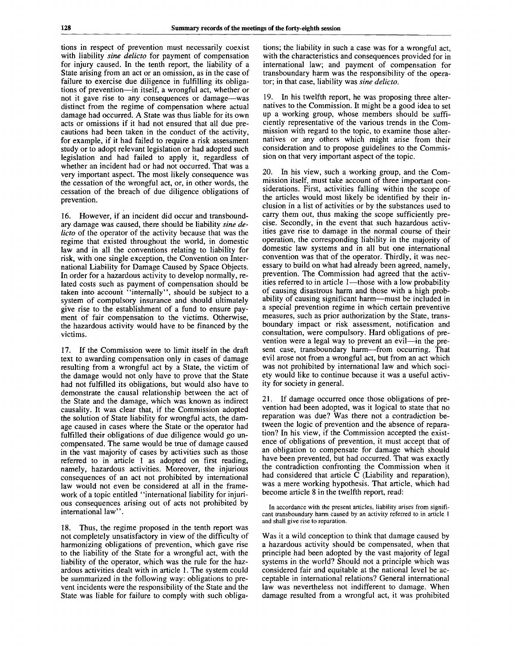tions in respect of prevention must necessarily coexist with liability *sine delicto* for payment of compensation for injury caused. In the tenth report, the liability of a State arising from an act or an omission, as in the case of failure to exercise due diligence in fulfilling its obligations of prevention—in itself, a wrongful act, whether or not it gave rise to any consequences or damage—was distinct from the regime of compensation where actual damage had occurred. A State was thus liable for its own acts or omissions if it had not ensured that all due precautions had been taken in the conduct of the activity, for example, if it had failed to require a risk assessment study or to adopt relevant legislation or had adopted such legislation and had failed to apply it, regardless of whether an incident had or had not occurred. That was a very important aspect. The most likely consequence was the cessation of the wrongful act, or, in other words, the cessation of the breach of due diligence obligations of prevention.

16. However, if an incident did occur and transboundary damage was caused, there should be liability *sine delicto* of the operator of the activity because that was the regime that existed throughout the world, in domestic law and in all the conventions relating to liability for risk, with one single exception, the Convention on International Liability for Damage Caused by Space Objects. In order for a hazardous activity to develop normally, related costs such as payment of compensation should be taken into account  $\cdot$  internally", should be subject to a system of compulsory insurance and should ultimately give rise to the establishment of a fund to ensure payment of fair compensation to the victims. Otherwise, the hazardous activity would have to be financed by the victims.

17. If the Commission were to limit itself in the draft text to awarding compensation only in cases of damage resulting from a wrongful act by a State, the victim of the damage would not only have to prove that the State had not fulfilled its obligations, but would also have to demonstrate the causal relationship between the act of the State and the damage, which was known as indirect causality. It was clear that, if the Commission adopted the solution of State liability for wrongful acts, the damage caused in cases where the State or the operator had fulfilled their obligations of due diligence would go uncompensated. The same would be true of damage caused in the vast majority of cases by activities such as those referred to in article 1 as adopted on first reading, namely, hazardous activities. Moreover, the injurious consequences of an act not prohibited by international law would not even be considered at all in the framework of a topic entitled "international liability for injurious consequences arising out of acts not prohibited by international law".

18. Thus, the regime proposed in the tenth report was not completely unsatisfactory in view of the difficulty of harmonizing obligations of prevention, which gave rise to the liability of the State for a wrongful act, with the liability of the operator, which was the rule for the hazardous activities dealt with in article 1. The system could be summarized in the following way: obligations to prevent incidents were the responsibility of the State and the State was liable for failure to comply with such obligations; the liability in such a case was for a wrongful act, with the characteristics and consequences provided for in international law; and payment of compensation for transboundary harm was the responsibility of the operator; in that case, liability was *sine delicto.*

19. In his twelfth report, he was proposing three alternatives to the Commission. It might be a good idea to set up a working group, whose members should be sufficiently representative of the various trends in the Commission with regard to the topic, to examine those alternatives or any others which might arise from their consideration and to propose guidelines to the Commission on that very important aspect of the topic.

20. In his view, such a working group, and the Commission itself, must take account of three important considerations. First, activities falling within the scope of the articles would most likely be identified by their inclusion in a list of activities or by the substances used to carry them out, thus making the scope sufficiently precise. Secondly, in the event that such hazardous activities gave rise to damage in the normal course of their operation, the corresponding liability in the majority of domestic law systems and in all but one international convention was that of the operator. Thirdly, it was necessary to build on what had already been agreed, namely, prevention. The Commission had agreed that the activities referred to in article 1—those with a low probability of causing disastrous harm and those with a high probability of causing significant harm—must be included in a special prevention regime in which certain preventive measures, such as prior authorization by the State, transboundary impact or risk assessment, notification and consultation, were compulsory. Hard obligations of prevention were a legal way to prevent an evil—in the present case, transboundary harm—from occurring. That evil arose not from a wrongful act, but from an act which was not prohibited by international law and which society would like to continue because it was a useful activity for society in general.

21. If damage occurred once those obligations of prevention had been adopted, was it logical to state that no reparation was due? Was there not a contradiction between the logic of prevention and the absence of reparation? In his view, if the Commission accepted the existence of obligations of prevention, it must accept that of an obligation to compensate for damage which should have been prevented, but had occurred. That was exactly the contradiction confronting the Commission when it had considered that article C (Liability and reparation), was a mere working hypothesis. That article, which had become article 8 in the twelfth report, read:

In accordance with the present articles, liability arises from significant transboundary harm caused by an activity referred to in article 1 and shall give rise to reparation.

Was it a wild conception to think that damage caused by a hazardous activity should be compensated, when that principle had been adopted by the vast majority of legal systems in the world? Should not a principle which was considered fair and equitable at the national level be acceptable in international relations? General international law was nevertheless not indifferent to damage. When damage resulted from a wrongful act, it was prohibited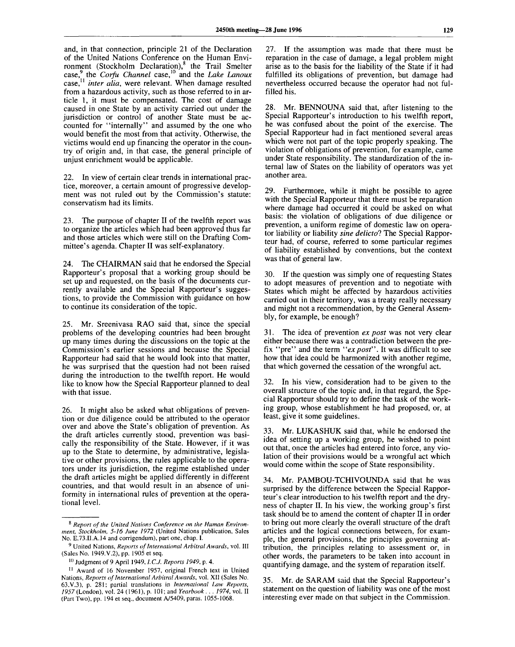and, in that connection, principle 21 of the Declaration of the United Nations Conference on the Human Environment (Stockholm Declaration),<sup>8</sup> the Trail Smelter case,<sup>9</sup> the *Corfu Channel* case,<sup>10</sup> and the *Lake Lanoux* case,<sup>11</sup>  *inter alia,* were relevant. When damage resulted from a hazardous activity, such as those referred to in article 1, it must be compensated. The cost of damage caused in one State by an activity carried out under the jurisdiction or control of another State must be accounted for "internally" and assumed by the one who would benefit the most from that activity. Otherwise, the victims would end up financing the operator in the country of origin and, in that case, the general principle of unjust enrichment would be applicable.

22. In view of certain clear trends in international practice, moreover, a certain amount of progressive development was not ruled out by the Commission's statute: conservatism had its limits.

23. The purpose of chapter II of the twelfth report was to organize the articles which had been approved thus far and those articles which were still on the Drafting Committee's agenda. Chapter II was self-explanatory.

24. The CHAIRMAN said that he endorsed the Special Rapporteur's proposal that a working group should be set up and requested, on the basis of the documents currently available and the Special Rapporteur's suggestions, to provide the Commission with guidance on how to continue its consideration of the topic.

25. Mr. Sreenivasa RAO said that, since the special problems of the developing countries had been brought up many times during the discussions on the topic at the Commission's earlier sessions and because the Special Rapporteur had said that he would look into that matter, he was surprised that the question had not been raised during the introduction to the twelfth report. He would like to know how the Special Rapporteur planned to deal with that issue.

26. It might also be asked what obligations of prevention or due diligence could be attributed to the operator over and above the State's obligation of prevention. As the draft articles currently stood, prevention was basically the responsibility of the State. However, if it was up to the State to determine, by administrative, legislative or other provisions, the rules applicable to the operators under its jurisdiction, the regime established under the draft articles might be applied differently in different countries, and that would result in an absence of uniformity in international rules of prevention at the operational level.

27. If the assumption was made that there must be reparation in the case of damage, a legal problem might arise as to the basis for the liability of the State if it had fulfilled its obligations of prevention, but damage had nevertheless occurred because the operator had not fulfilled his.

28. Mr. BENNOUNA said that, after listening to the Special Rapporteur's introduction to his twelfth report, he was confused about the point of the exercise. The Special Rapporteur had in fact mentioned several areas which were not part of the topic properly speaking. The violation of obligations of prevention, for example, came under State responsibility. The standardization of the internal law of States on the liability of operators was yet another area.

29. Furthermore, while it might be possible to agree with the Special Rapporteur that there must be reparation where damage had occurred it could be asked on what basis: the violation of obligations of due diligence or prevention, a uniform regime of domestic law on operator liability or liability sine delicto? The Special Rapporteur had, of course, referred to some particular regimes of liability established by conventions, but the context was that of general law.

30. If the question was simply one of requesting States to adopt measures of prevention and to negotiate with States which might be affected by hazardous activities carried out in their territory, was a treaty really necessary and might not a recommendation, by the General Assembly, for example, be enough?

31. The idea of prevention *ex post* was not very clear either because there was a contradiction between the prefix "pre" and the term *"expost".* It was difficult to see how that idea could be harmonized with another regime, that which governed the cessation of the wrongful act.

32. In his view, consideration had to be given to the overall structure of the topic and, in that regard, the Special Rapporteur should try to define the task of the working group, whose establishment he had proposed, or, at least, give it some guidelines.

33. Mr. LUKASHUK said that, while he endorsed the idea of setting up a working group, he wished to point out that, once the articles had entered into force, any violation of their provisions would be a wrongful act which would come within the scope of State responsibility.

34. Mr. PAMBOU-TCHIVOUNDA said that he was surprised by the difference between the Special Rapporteur's clear introduction to his twelfth report and the dryness of chapter II. In his view, the working group's first task should be to amend the content of chapter II in order to bring out more clearly the overall structure of the draft articles and the logical connections between, for example, the general provisions, the principles governing attribution, the principles relating to assessment or, in other words, the parameters to be taken into account in quantifying damage, and the system of reparation itself.

35. Mr. de SARAM said that the Special Rapporteur's statement on the question of liability was one of the most interesting ever made on that subject in the Commission.

<sup>8</sup>  *Report of the United Nations Conference on the Human Environment, Stockholm, 5-16 June 1972* (United Nations publication, Sales No. E.73.II.A.14 and corrigendum), part one, chap. I.

<sup>9</sup> United Nations, *Reports of International Arbitral Awards,* vol. Ill (Sales No. 1949.V.2), pp. 1905 et seq.

<sup>10</sup> Judgment of 9 April 1949, *l.C.J. Reports 1949,* p. 4.

<sup>&</sup>lt;sup>11</sup> Award of 16 November 1957, original French text in United Nations, *Reports of International Arbitral Awards,* vol. XII (Sales No. 63.V.3), p. 281; partial translations in *International Law Reports, 1957* (London), vol. 24 (1961), p. 101; and *Yearbook. . . 1974,* vol. II (Part Two), pp. 194 et seq., document A/5409, paras. 1055-1068.